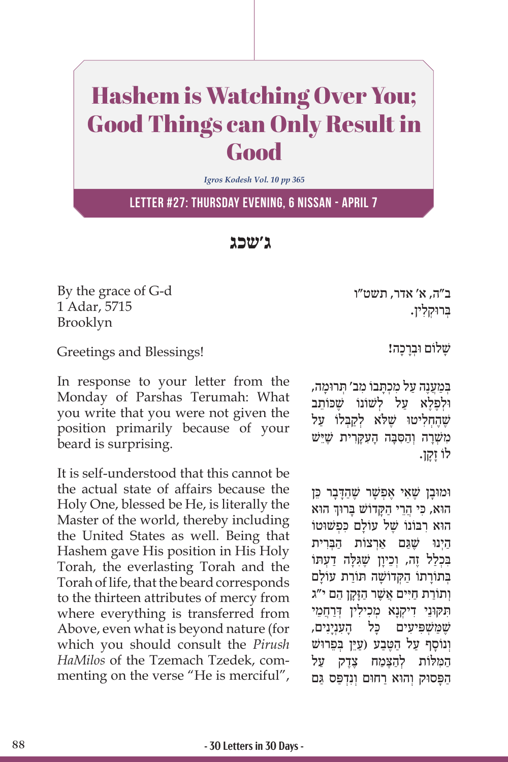## Hashem is Watching Over You; Good Things can Only Result in Good

*Igros Kodesh Vol. 10 pp 365*

**Letter #27: Thursday Evening, 6 Nissan - April 7**

**ג'שכג**

By the grace of G-d 1 Adar, 5715 Brooklyn

ב"ה, א' אדר, תשט"ו ַבְּרוּקלין.

Greetings and Blessings!

In response to your letter from the Monday of Parshas Terumah: What you write that you were not given the position primarily because of your beard is surprising.

It is self-understood that this cannot be the actual state of affairs because the Holy One, blessed be He, is literally the Master of the world, thereby including the United States as well. Being that Hashem gave His position in His Holy Torah, the everlasting Torah and the Torah of life, that the beard corresponds to the thirteen attributes of mercy from where everything is transferred from Above, even what is beyond nature (for which you should consult the *Pirush HaMilos* of the Tzemach Tzedek, commenting on the verse "He is merciful", שלום וּברכה!

במענה על מכתבו מב׳ תרוּמה, ולפלא על לשונו שָכוֹתֵב שֶׁהַחליטוּ שֵׁלֹא לִקבִּלוֹ על משׁרה וַהסִבָּה העקרית שֶׁיֵּשׁ ָ לוֹ זָקן.

**וֹמוּבַן שֶׁאִי אַפְשָׁר שֶׁהַדְּבַר כֵּן** ׅ֧֖֖֖֖֖֖֖֖֖ׅ֖ׅ֖ׅ֖ׅ֖ׅ֖֧ׅׅ֧֖֪ׅ֖֚֚֚֚֚֚֚֚֚֚֚֚֚֚֚֚֚֓֝֬֝֓֓֞֬֝֓֞֝֬֝֬֝֓֞֬֝֬֝֓֞֬֝֬֝֓֝֬֓֝֬֝֬֝֬ ּ הוא ּהו ִ א, כּ ֲ י הֵר ַ י ה ָּק ָּ דוֹ שׁ ב ּרוך הוא רִבּוֹנוֹ שֵׁל עוֹלַם כִּפְשׁוּטוֹ היִנוּ שֵׁגם אִרצוֹת הבִרית בִּכְלַל זֶה, וְכֵיוָן שֶׁגִּלָּה דַעְתּוֹ ַ בְּתוֹרתוֹ הַקְדוֹשׁה תּוֹרת עוֹלם וְתוֹרַת חַיִּים אֲשֶׁר הַזַּקַן הֵם י"ג ִּת ּק ּוֵנ ִ י ד ְיקָנ ְ א מ ִכ ִיל ְ ּ ין דַרֲחֵמי שַׁמַּשׁפּיעים כּל הענינים, וְנוֹסף על הטֵבע (עַיֵּן בַּפֵרוּשׁ המלות להצֵמח צֶדֵק על הַפַּסוּק וְהוּא רַחוּם וְנִדְפַּס גַּם